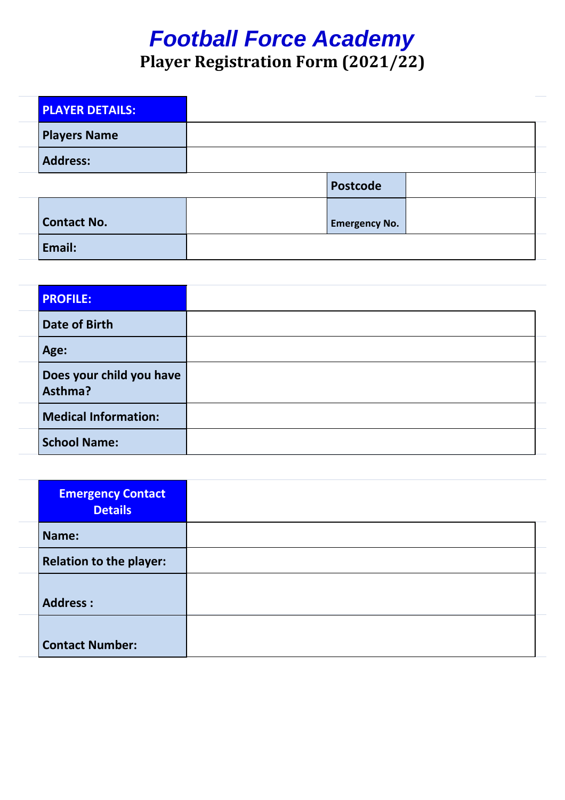## *Football Force Academy* **Player Registration Form (2021/22)**

| <b>PLAYER DETAILS:</b> |                      |
|------------------------|----------------------|
| <b>Players Name</b>    |                      |
| <b>Address:</b>        |                      |
|                        | <b>Postcode</b>      |
| <b>Contact No.</b>     | <b>Emergency No.</b> |
| Email:                 |                      |

| <b>PROFILE:</b>                     |  |
|-------------------------------------|--|
| Date of Birth                       |  |
| Age:                                |  |
| Does your child you have<br>Asthma? |  |
| <b>Medical Information:</b>         |  |
| <b>School Name:</b>                 |  |

| <b>Emergency Contact</b><br><b>Details</b> |  |
|--------------------------------------------|--|
| Name:                                      |  |
| <b>Relation to the player:</b>             |  |
| <b>Address:</b>                            |  |
| <b>Contact Number:</b>                     |  |